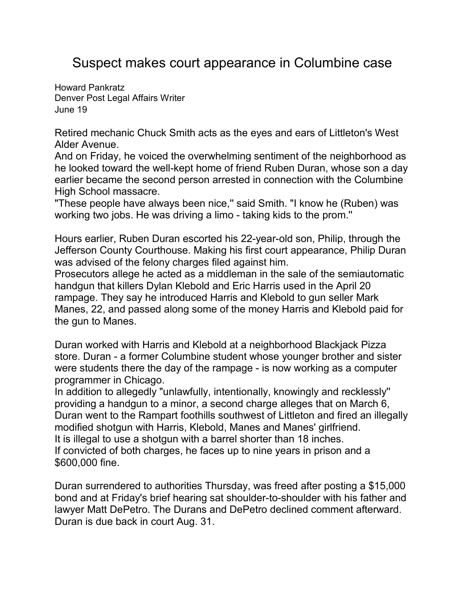## Suspect makes court appearance in Columbine case

[Howard Pankratz](mailto:newsroom@denverpost.com) Denver Post Legal Affairs Writer June 19

Retired mechanic Chuck Smith acts as the eyes and ears of Littleton's West Alder Avenue.

And on Friday, he voiced the overwhelming sentiment of the neighborhood as he looked toward the well-kept home of friend Ruben Duran, whose son a day earlier became the second person arrested in connection with the Columbine High School massacre.

"These people have always been nice," said Smith. "I know he (Ruben) was working two jobs. He was driving a limo - taking kids to the prom.''

Hours earlier, Ruben Duran escorted his 22-year-old son, Philip, through the Jefferson County Courthouse. Making his first court appearance, Philip Duran was advised of the felony charges filed against him.

Prosecutors allege he acted as a middleman in the sale of the semiautomatic handgun that killers Dylan Klebold and Eric Harris used in the April 20 rampage. They say he introduced Harris and Klebold to gun seller Mark Manes, 22, and passed along some of the money Harris and Klebold paid for the gun to Manes.

Duran worked with Harris and Klebold at a neighborhood Blackjack Pizza store. Duran - a former Columbine student whose younger brother and sister were students there the day of the rampage - is now working as a computer programmer in Chicago.

In addition to allegedly "unlawfully, intentionally, knowingly and recklessly'' providing a handgun to a minor, a second charge alleges that on March 6, Duran went to the Rampart foothills southwest of Littleton and fired an illegally modified shotgun with Harris, Klebold, Manes and Manes' girlfriend. It is illegal to use a shotgun with a barrel shorter than 18 inches. If convicted of both charges, he faces up to nine years in prison and a \$600,000 fine.

Duran surrendered to authorities Thursday, was freed after posting a \$15,000 bond and at Friday's brief hearing sat shoulder-to-shoulder with his father and lawyer Matt DePetro. The Durans and DePetro declined comment afterward. Duran is due back in court Aug. 31.